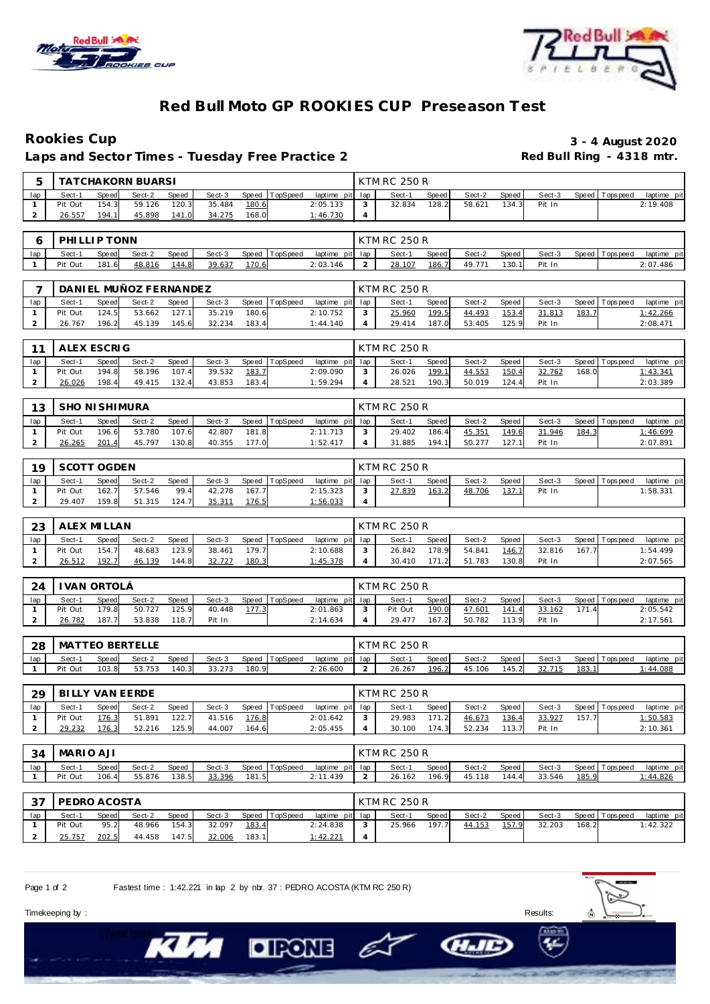



# **Red Bull Moto GP ROOKIES CUP Preseason Test**

### **Rookies Cup 3 - 4 August 2020** Laps and Sector Times - Tuesday Free Practice 2

| 5   |              |       | <b>TATCHAKORN BUARSI</b> |       |        |       |                  |                 |   | <b>KTM RC 250 R</b> |       |        |       |        |                 |             |
|-----|--------------|-------|--------------------------|-------|--------|-------|------------------|-----------------|---|---------------------|-------|--------|-------|--------|-----------------|-------------|
| lap | Sect-1       | Speed | Sect-2                   | Speed | Sect-3 |       | Speed   TopSpeed | laptime pit lap |   | Sect-1              | Speed | Sect-2 | Speed | Sect-3 | Speed Topspeed  | laptime pit |
|     | Pit Out      | 154.3 | 59.126                   | 120.3 | 35.484 | 180.6 |                  | 2:05.133        | 3 | 32.834              | 128.2 | 58.621 | 134.3 | Pit In |                 | 2:19.408    |
|     | 26.557       | 194.1 | 45.898                   | 141.0 | 34.275 | 168.0 |                  | 1:46.730        | 4 |                     |       |        |       |        |                 |             |
|     |              |       |                          |       |        |       |                  |                 |   |                     |       |        |       |        |                 |             |
| 6   | PHILLIP TONN |       |                          |       |        |       |                  |                 |   | <b>KTM RC 250 R</b> |       |        |       |        |                 |             |
| lap | Sect-1       | Speed | Sect-2                   | Speed | Sect-3 | Speed | TopSpeed         | laptime pit lap |   | Sect-1              | Speed | Sect-2 | Speed | Sect-3 | Speed Tops peed | laptime pit |
|     | Pit Out      | 181.6 | 48.816                   | 144.8 | 39.637 | 170.6 |                  | 2:03.146        |   | 28.107              | 186.7 | 49.771 | 130.1 | Pit In |                 | 2:07.486    |
|     |              |       |                          |       |        |       |                  |                 |   |                     |       |        |       |        |                 |             |

|         |       | DANI EL MUÑOZ FERNANDEZ |       |        |       |                |                 | KTM RC 250 R |       |        |         |        |       |                |             |
|---------|-------|-------------------------|-------|--------|-------|----------------|-----------------|--------------|-------|--------|---------|--------|-------|----------------|-------------|
| Sect-1  | Speed | Sect-2                  | Speed | Sect-3 |       | Speed TopSpeed | laptime pit lap | Sect-1       | Speed | Sect-2 | Speed I | Sect-3 |       | Speed Topspeed | laptime pit |
| Pit Out | 124.5 | 53.662                  | 127.1 | 35.219 | 180.6 |                | 2:10.752        | 25.960       | 199.5 | 44.493 | 153.4   | 31.813 | 183.7 |                | 1:42.266    |
| 26.767  | 196.2 | 45.139                  | 145.6 | 32.234 | 183.4 |                | 1:44.140        | 29.414       | 187.0 | 53.405 | 125.9   | Pit In |       |                | 2:08.471    |

| $\sim$ | ALEX ESCRIG |       |        |       |        |       |          |          |         | KTM RC 250 R |       |        |       |        |         |          |             |
|--------|-------------|-------|--------|-------|--------|-------|----------|----------|---------|--------------|-------|--------|-------|--------|---------|----------|-------------|
| lap    | Sect-1      | Speed | Sect-2 | Speed | Sect-3 | Speed | TopSpeed | laptime  | pit lap | Sect-1       | Speed | Sect-2 | Speed | Sect-3 | Speed T | Topspeed | laptime pit |
|        | Pit Out     | 194.8 | 58.196 | 107.4 | 39.532 | 183.7 |          | 2:09.090 |         | 26.026       | 199.1 | 44.553 | 150.4 | 32.762 | 168.0   |          | 1:43.341    |
|        | 26.026      | 198.4 | 49.415 | 132.4 | 43.853 | 183.4 |          | 1:59.294 |         | 28.521       | 190.3 | 50.019 | 124.4 | Pit In |         |          | 2:03.389    |

| 13  | SHO NI SHIMURA |              |        |       |        |       |                |                 | <b>KTM RC 250 R</b> |       |        |         |        |       |                   |                 |
|-----|----------------|--------------|--------|-------|--------|-------|----------------|-----------------|---------------------|-------|--------|---------|--------|-------|-------------------|-----------------|
| lap | Sect-1         | <b>Speed</b> | Sect-2 | Speed | Sect-3 |       | Speed TopSpeed | laptime pit lap | Sect-1              | Speed | Sect-2 | Speed I | Sect-3 |       | Speed   Tops peed | laptime pit     |
|     | Pit Out        | 196.6        | 53.780 | 107.6 | 42.807 | 181.8 |                | 2:11.713        | 29.402              | 186.4 | 45.351 | 149.6   | 31.946 | 184.3 |                   | <u>1:46.699</u> |
|     | 26.265         | 201.4        | 45.797 | 130.8 | 40.355 | 177.0 |                | 1:52.417        | 31.885              | 194.1 | 50.277 |         | Pit In |       |                   | 2:07.891        |

| 19  | SCOTT OGDEN |       |        |       |        |       |                |                 | KTM RC 250 R |       |        |       |        |                |             |
|-----|-------------|-------|--------|-------|--------|-------|----------------|-----------------|--------------|-------|--------|-------|--------|----------------|-------------|
| lap | Sect-1      | Speed | Sect-2 | Speed | Sect-3 |       | Speed TopSpeed | laptime pit lap | Sect-1       | Speed | Sect-2 | Speed | Sect-3 | Speed Topspeed | laptime pit |
|     | Pit Out     | 162.7 | 57.546 | 99.4  | 42.278 | 167.7 |                | 2:15.323        | 27.839       | 163.2 | 48.706 | 137.1 | Pit In |                | 1:58.331    |
|     | 29.407      | 159.8 | 51.315 | 124.7 | 35.311 | 176.5 |                | 1:56.033        |              |       |        |       |        |                |             |

| 23  | I ALEX MI LLAN |              |        |       |        |       |                |                 |   | KTM RC 250 R |       |        |       |        |       |                |                |
|-----|----------------|--------------|--------|-------|--------|-------|----------------|-----------------|---|--------------|-------|--------|-------|--------|-------|----------------|----------------|
| lap | Sect-1         | <b>Speed</b> | Sect-2 | Speed | Sect-3 |       | Speed TopSpeed | laptime pit lap |   | Sect-1       | Speed | Sect-2 | Speed | Sect-3 |       | Speed Topspeed | laptime<br>pit |
|     | Pit Out        | 154.7        | 48.683 | 123.9 | 38.461 | 179.7 |                | 2:10.688        |   | 26.842       | 178.9 | 54.841 | 146.7 | 32.816 | 167.7 |                | 1:54.499       |
|     | 26.512         | 192.7        | 46.139 | 144.8 | 32.727 | 180.3 |                | 1:45.378        | ᅭ | 30.410       | 171.2 | 51.783 | 130.8 | Pit In |       |                | 2:07.565       |

| 24  | I VAN ORTOLÁ |       |        |       |        |       |                |                 |   | KTM RC 250 R |       |        |       |        |       |                   |             |
|-----|--------------|-------|--------|-------|--------|-------|----------------|-----------------|---|--------------|-------|--------|-------|--------|-------|-------------------|-------------|
| lap | Sect-1       | Speed | Sect-2 | Speed | Sect-3 |       | Speed TopSpeed | laptime pit lap |   | Sect-1       | Speed | Sect-2 | Speed | Sect-3 |       | Speed   Tops peed | laptime pit |
|     | Pit Out      | 179.8 | 50.727 | 125.9 | 40.448 | 177.3 |                | 2:01.863        | 3 | Pit Out      | 190.0 | 47.601 | 141.4 | 33.162 | 171.4 |                   | 2:05.542    |
|     | 26.782       | 187.7 | 53.838 | 118.7 | Pit In |       |                | 2:14.634        |   | 29.477       | 167.2 | 50.782 | 113.9 | Pit In |       |                   | 2:17.561    |

| 28  | МA      | ΈO    | <b>BERTELLE</b> |              |        |       |          |          |         | ; 250 R<br>KTM RC |       |        |       |            |               |                   |                |
|-----|---------|-------|-----------------|--------------|--------|-------|----------|----------|---------|-------------------|-------|--------|-------|------------|---------------|-------------------|----------------|
| lap | Sect-1  | Speed | Sect-2          | <b>Speed</b> | Sect-3 | Speed | TopSpeed | laptime  | pit lap | Sect-1            | Speed | Sect-2 | Speed | Sect-3     |               | Speed   Tops peed | pit<br>laptime |
|     | Pit Out | 103.8 | 53.753          | 140.3        | 33.273 | 180.9 |          | 2:26.600 |         | 26.267            | 196.2 | 45.106 | 45.2  | 715<br>32. | <u> 183.1</u> |                   | :44.088        |

| 29  |         |       | BILLY VAN EERDE |       |        |       |          |                 | <b>KTM RC 250 R</b> |       |        |       |        |           |           |             |
|-----|---------|-------|-----------------|-------|--------|-------|----------|-----------------|---------------------|-------|--------|-------|--------|-----------|-----------|-------------|
| lap | Sect-1  | Speed | Sect-2          | Speed | Sect-3 | Speed | TopSpeed | laptime pit lap | Sect-1              | Speed | Sect-2 | Speed | Sect-3 | Speed   T | Tops peed | laptime pit |
|     | Pit Out | 176.3 | 51.891          | 122.7 | 41.516 | 176.8 |          | 2:01.642        | 29.983              | 171   | 46.673 | 136.4 | 33.927 | 157.7     |           | 1:50.583    |
|     | 29.232  | 176.3 | 52.216          | 125.9 | 44.007 | 164.6 |          | 2:05.455        | 30.100              | 174.3 | 52.234 | 113.7 | Pit In |           |           | 2:10.361    |

| 34  | MARIO AJI |       |        |       |        |       |          |                 |   | KTM RC 250 R |       |        |       |        |       |                |                  |
|-----|-----------|-------|--------|-------|--------|-------|----------|-----------------|---|--------------|-------|--------|-------|--------|-------|----------------|------------------|
| lap | Sect-1    | Speed | Sect-2 | Speed | Sect-3 | Speed | TopSpeed | laptime pit lap |   | Sect-        | Speed | Sect-2 | Speed | Sect-3 |       | Speed Topspeed | laptime pit      |
|     | Pit Out   | 106.4 | 55.876 | 138.5 | 33.396 | 181.5 |          | 2:11.439        | - | 26.162       | 196.9 | .118   | 144.4 | 33.546 | 185.9 |                | <u>l: 44.826</u> |

| -37 | PEDRO ACOSTA |       |        |       |        |       |          |                 | KTM RC 250 R |       |        |       |        |       |                 |             |
|-----|--------------|-------|--------|-------|--------|-------|----------|-----------------|--------------|-------|--------|-------|--------|-------|-----------------|-------------|
| lap | Sect-1       | Speed | Sect-2 | Speed | Sect-3 | Speed | TopSpeed | laptime pit lap | Sect-1       | Speed | Sect-2 | Speed | Sect-3 |       | Speed Tops peed | laptime pit |
|     | Pit Out      | 95.2  | 48.966 | 154.3 | 32.097 | 183.4 |          | 2:24.838        | 25.966       | 197.7 | 44.153 | 157.9 | 32.203 | 168.2 |                 | 1:42.322    |
|     | 25.757       | 202.5 | 44.458 | 147.5 | 32.006 | 183.1 |          | 1:42.221        |              |       |        |       |        |       |                 |             |

– E

Page 1 of 2 Fastest time : 1:42.221 in lap 2 by nbr. 37 : PEDRO ACOSTA (KTM RC 250 R)

**DIRONE** 

Timekeeping by : Results: Results: Results: Results: Results: Results: Results: Results: Results: Results: Results: Results: Results: Results: Results: Results: Results: Results: Results: Results: Results: Results: Results